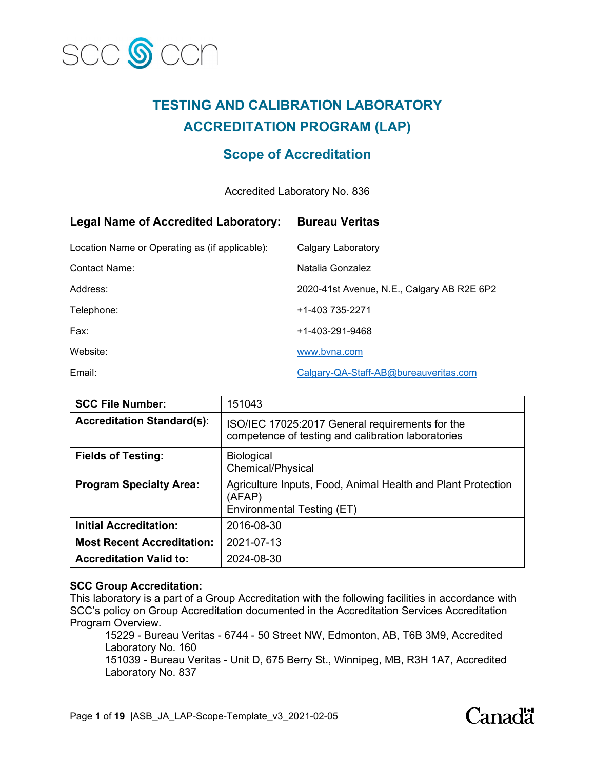

# **TESTING AND CALIBRATION LABORATORY ACCREDITATION PROGRAM (LAP)**

# **Scope of Accreditation**

# Accredited Laboratory No. 836

| <b>Legal Name of Accredited Laboratory:</b>    | <b>Bureau Veritas</b>                      |
|------------------------------------------------|--------------------------------------------|
| Location Name or Operating as (if applicable): | Calgary Laboratory                         |
| Contact Name:                                  | Natalia Gonzalez                           |
| Address:                                       | 2020-41st Avenue, N.E., Calgary AB R2E 6P2 |
| Telephone:                                     | +1-403 735-2271                            |
| Fax:                                           | +1-403-291-9468                            |
| Website:                                       | www.byna.com                               |
| Email:                                         | Calgary-QA-Staff-AB@bureauveritas.com      |

| <b>SCC File Number:</b>           | 151043                                                                                                |
|-----------------------------------|-------------------------------------------------------------------------------------------------------|
| <b>Accreditation Standard(s):</b> | ISO/IEC 17025:2017 General requirements for the<br>competence of testing and calibration laboratories |
| <b>Fields of Testing:</b>         | <b>Biological</b><br><b>Chemical/Physical</b>                                                         |
| <b>Program Specialty Area:</b>    | Agriculture Inputs, Food, Animal Health and Plant Protection<br>(AFAP)<br>Environmental Testing (ET)  |
| <b>Initial Accreditation:</b>     | 2016-08-30                                                                                            |
| <b>Most Recent Accreditation:</b> | 2021-07-13                                                                                            |
| <b>Accreditation Valid to:</b>    | 2024-08-30                                                                                            |

### **SCC Group Accreditation:**

This laboratory is a part of a Group Accreditation with the following facilities in accordance with SCC's policy on Group Accreditation documented in the Accreditation Services Accreditation Program Overview.

15229 - Bureau Veritas - 6744 - 50 Street NW, Edmonton, AB, T6B 3M9, Accredited Laboratory No. 160

151039 - Bureau Veritas - Unit D, 675 Berry St., Winnipeg, MB, R3H 1A7, Accredited Laboratory No. 837

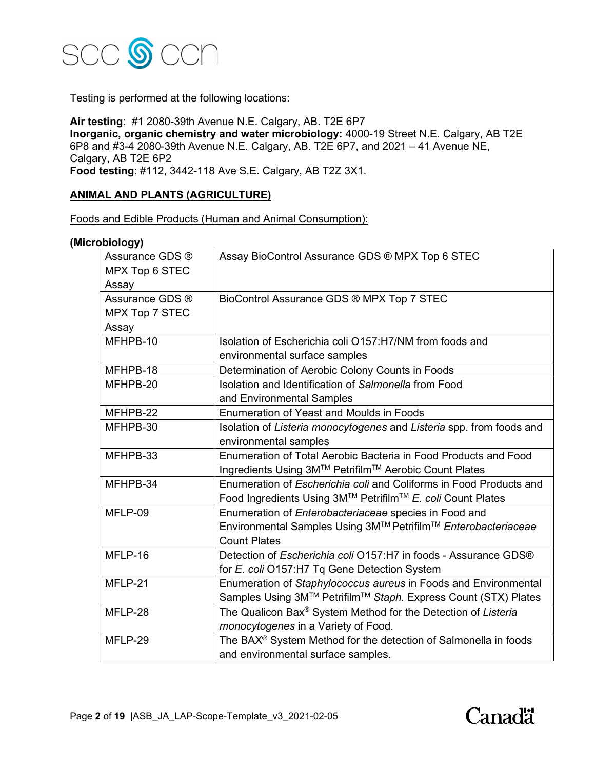

Testing is performed at the following locations:

**Air testing**: #1 2080-39th Avenue N.E. Calgary, AB. T2E 6P7 **Inorganic, organic chemistry and water microbiology:** 4000-19 Street N.E. Calgary, AB T2E 6P8 and #3-4 2080-39th Avenue N.E. Calgary, AB. T2E 6P7, and 2021 – 41 Avenue NE, Calgary, AB T2E 6P2 **Food testing**: #112, 3442-118 Ave S.E. Calgary, AB T2Z 3X1.

### **ANIMAL AND PLANTS (AGRICULTURE)**

Foods and Edible Products (Human and Animal Consumption):

#### **(Microbiology)**

| - 337<br>Assurance GDS ®<br>MPX Top 6 STEC<br>Assay | Assay BioControl Assurance GDS ® MPX Top 6 STEC                                                                                                      |
|-----------------------------------------------------|------------------------------------------------------------------------------------------------------------------------------------------------------|
| Assurance GDS ®<br>MPX Top 7 STEC<br>Assay          | BioControl Assurance GDS ® MPX Top 7 STEC                                                                                                            |
| MFHPB-10                                            | Isolation of Escherichia coli O157:H7/NM from foods and<br>environmental surface samples                                                             |
| MFHPB-18                                            | Determination of Aerobic Colony Counts in Foods                                                                                                      |
| MFHPB-20                                            | Isolation and Identification of Salmonella from Food<br>and Environmental Samples                                                                    |
| MFHPB-22                                            | <b>Enumeration of Yeast and Moulds in Foods</b>                                                                                                      |
| MFHPB-30                                            | Isolation of Listeria monocytogenes and Listeria spp. from foods and<br>environmental samples                                                        |
| MFHPB-33                                            | Enumeration of Total Aerobic Bacteria in Food Products and Food<br>Ingredients Using 3M™ Petrifilm™ Aerobic Count Plates                             |
| MFHPB-34                                            | Enumeration of Escherichia coli and Coliforms in Food Products and<br>Food Ingredients Using 3M™ Petrifilm™ E. coli Count Plates                     |
| MFLP-09                                             | Enumeration of <i>Enterobacteriaceae</i> species in Food and<br>Environmental Samples Using 3M™ Petrifilm™ Enterobacteriaceae<br><b>Count Plates</b> |
| MFLP-16                                             | Detection of Escherichia coli O157:H7 in foods - Assurance GDS®<br>for E. coli O157:H7 Tq Gene Detection System                                      |
| MFLP-21                                             | Enumeration of Staphylococcus aureus in Foods and Environmental<br>Samples Using 3M™ Petrifilm™ Staph. Express Count (STX) Plates                    |
| MFLP-28                                             | The Qualicon Bax® System Method for the Detection of Listeria<br>monocytogenes in a Variety of Food.                                                 |
| MFLP-29                                             | The BAX® System Method for the detection of Salmonella in foods<br>and environmental surface samples.                                                |

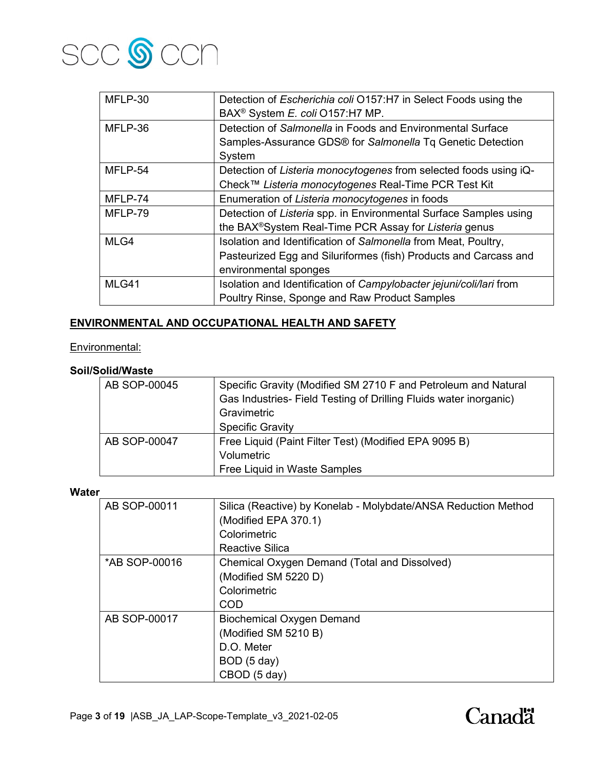

| MFLP-30 | Detection of Escherichia coli O157:H7 in Select Foods using the<br>BAX <sup>®</sup> System E. coli O157:H7 MP. |
|---------|----------------------------------------------------------------------------------------------------------------|
| MFLP-36 | Detection of Salmonella in Foods and Environmental Surface                                                     |
|         | Samples-Assurance GDS® for Salmonella Tq Genetic Detection                                                     |
|         | System                                                                                                         |
| MFLP-54 | Detection of Listeria monocytogenes from selected foods using iQ-                                              |
|         | Check™ Listeria monocytogenes Real-Time PCR Test Kit                                                           |
| MFLP-74 | Enumeration of Listeria monocytogenes in foods                                                                 |
| MFLP-79 | Detection of Listeria spp. in Environmental Surface Samples using                                              |
|         | the BAX®System Real-Time PCR Assay for Listeria genus                                                          |
| MLG4    | Isolation and Identification of Salmonella from Meat, Poultry,                                                 |
|         | Pasteurized Egg and Siluriformes (fish) Products and Carcass and                                               |
|         | environmental sponges                                                                                          |
| MLG41   | Isolation and Identification of Campylobacter jejuni/coli/lari from                                            |
|         | Poultry Rinse, Sponge and Raw Product Samples                                                                  |

# **ENVIRONMENTAL AND OCCUPATIONAL HEALTH AND SAFETY**

# Environmental:

# **Soil/Solid/Waste**

| AB SOP-00045 | Specific Gravity (Modified SM 2710 F and Petroleum and Natural    |
|--------------|-------------------------------------------------------------------|
|              | Gas Industries- Field Testing of Drilling Fluids water inorganic) |
|              | Gravimetric                                                       |
|              | <b>Specific Gravity</b>                                           |
| AB SOP-00047 | Free Liquid (Paint Filter Test) (Modified EPA 9095 B)             |
|              | Volumetric                                                        |
|              | Free Liquid in Waste Samples                                      |

#### **Water**

| AB SOP-00011  | Silica (Reactive) by Konelab - Molybdate/ANSA Reduction Method |
|---------------|----------------------------------------------------------------|
|               | (Modified EPA 370.1)                                           |
|               | Colorimetric                                                   |
|               | Reactive Silica                                                |
| *AB SOP-00016 | Chemical Oxygen Demand (Total and Dissolved)                   |
|               | (Modified SM 5220 D)                                           |
|               | Colorimetric                                                   |
|               | COD                                                            |
| AB SOP-00017  | <b>Biochemical Oxygen Demand</b>                               |
|               | (Modified SM 5210 B)                                           |
|               | D.O. Meter                                                     |
|               | BOD (5 day)                                                    |
|               | CBOD (5 day)                                                   |

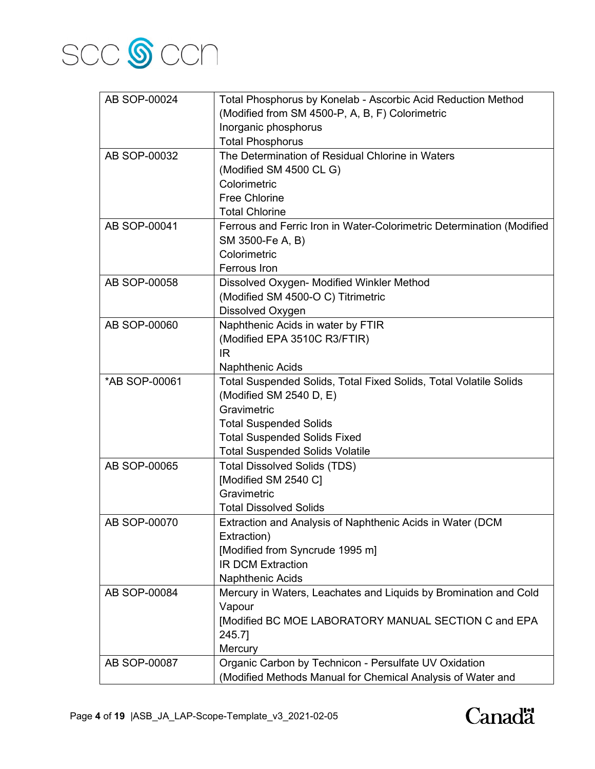

| AB SOP-00024  | Total Phosphorus by Konelab - Ascorbic Acid Reduction Method          |
|---------------|-----------------------------------------------------------------------|
|               | (Modified from SM 4500-P, A, B, F) Colorimetric                       |
|               | Inorganic phosphorus                                                  |
|               | <b>Total Phosphorus</b>                                               |
| AB SOP-00032  | The Determination of Residual Chlorine in Waters                      |
|               | (Modified SM 4500 CL G)                                               |
|               | Colorimetric                                                          |
|               | <b>Free Chlorine</b>                                                  |
|               | <b>Total Chlorine</b>                                                 |
| AB SOP-00041  | Ferrous and Ferric Iron in Water-Colorimetric Determination (Modified |
|               | SM 3500-Fe A, B)                                                      |
|               | Colorimetric                                                          |
|               | <b>Ferrous</b> Iron                                                   |
| AB SOP-00058  | Dissolved Oxygen- Modified Winkler Method                             |
|               | (Modified SM 4500-O C) Titrimetric                                    |
|               | Dissolved Oxygen                                                      |
| AB SOP-00060  | Naphthenic Acids in water by FTIR                                     |
|               | (Modified EPA 3510C R3/FTIR)                                          |
|               | IR                                                                    |
|               | <b>Naphthenic Acids</b>                                               |
| *AB SOP-00061 | Total Suspended Solids, Total Fixed Solids, Total Volatile Solids     |
|               | (Modified SM 2540 D, E)                                               |
|               | Gravimetric                                                           |
|               | <b>Total Suspended Solids</b>                                         |
|               | <b>Total Suspended Solids Fixed</b>                                   |
|               | <b>Total Suspended Solids Volatile</b>                                |
| AB SOP-00065  | <b>Total Dissolved Solids (TDS)</b>                                   |
|               | [Modified SM 2540 C]                                                  |
|               | Gravimetric                                                           |
|               | <b>Total Dissolved Solids</b>                                         |
| AB SOP-00070  | Extraction and Analysis of Naphthenic Acids in Water (DCM             |
|               | Extraction)                                                           |
|               | [Modified from Syncrude 1995 m]                                       |
|               | <b>IR DCM Extraction</b>                                              |
|               | Naphthenic Acids                                                      |
| AB SOP-00084  | Mercury in Waters, Leachates and Liquids by Bromination and Cold      |
|               | Vapour                                                                |
|               | [Modified BC MOE LABORATORY MANUAL SECTION C and EPA                  |
|               | 245.7]                                                                |
|               | Mercury                                                               |
| AB SOP-00087  | Organic Carbon by Technicon - Persulfate UV Oxidation                 |
|               | (Modified Methods Manual for Chemical Analysis of Water and           |

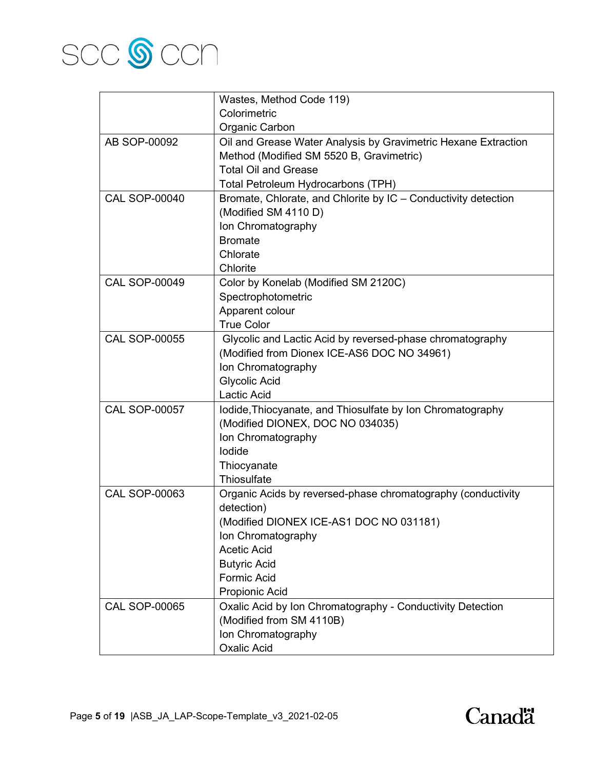

|                      | Wastes, Method Code 119)                                       |
|----------------------|----------------------------------------------------------------|
|                      | Colorimetric                                                   |
|                      | Organic Carbon                                                 |
| AB SOP-00092         | Oil and Grease Water Analysis by Gravimetric Hexane Extraction |
|                      | Method (Modified SM 5520 B, Gravimetric)                       |
|                      | <b>Total Oil and Grease</b>                                    |
|                      | Total Petroleum Hydrocarbons (TPH)                             |
| <b>CAL SOP-00040</b> | Bromate, Chlorate, and Chlorite by IC - Conductivity detection |
|                      | (Modified SM 4110 D)                                           |
|                      | Ion Chromatography                                             |
|                      | <b>Bromate</b>                                                 |
|                      | Chlorate                                                       |
|                      | Chlorite                                                       |
| <b>CAL SOP-00049</b> | Color by Konelab (Modified SM 2120C)                           |
|                      | Spectrophotometric                                             |
|                      | Apparent colour                                                |
|                      | <b>True Color</b>                                              |
| <b>CAL SOP-00055</b> | Glycolic and Lactic Acid by reversed-phase chromatography      |
|                      | (Modified from Dionex ICE-AS6 DOC NO 34961)                    |
|                      | Ion Chromatography                                             |
|                      | <b>Glycolic Acid</b>                                           |
|                      | Lactic Acid                                                    |
| <b>CAL SOP-00057</b> | Iodide, Thiocyanate, and Thiosulfate by Ion Chromatography     |
|                      | (Modified DIONEX, DOC NO 034035)                               |
|                      | Ion Chromatography                                             |
|                      | lodide                                                         |
|                      | Thiocyanate                                                    |
|                      | Thiosulfate                                                    |
| <b>CAL SOP-00063</b> | Organic Acids by reversed-phase chromatography (conductivity   |
|                      | detection)                                                     |
|                      | (Modified DIONEX ICE-AS1 DOC NO 031181)                        |
|                      | Ion Chromatography                                             |
|                      | <b>Acetic Acid</b>                                             |
|                      | <b>Butyric Acid</b>                                            |
|                      | <b>Formic Acid</b>                                             |
|                      | Propionic Acid                                                 |
| <b>CAL SOP-00065</b> | Oxalic Acid by Ion Chromatography - Conductivity Detection     |
|                      | (Modified from SM 4110B)                                       |
|                      | Ion Chromatography                                             |
|                      | <b>Oxalic Acid</b>                                             |

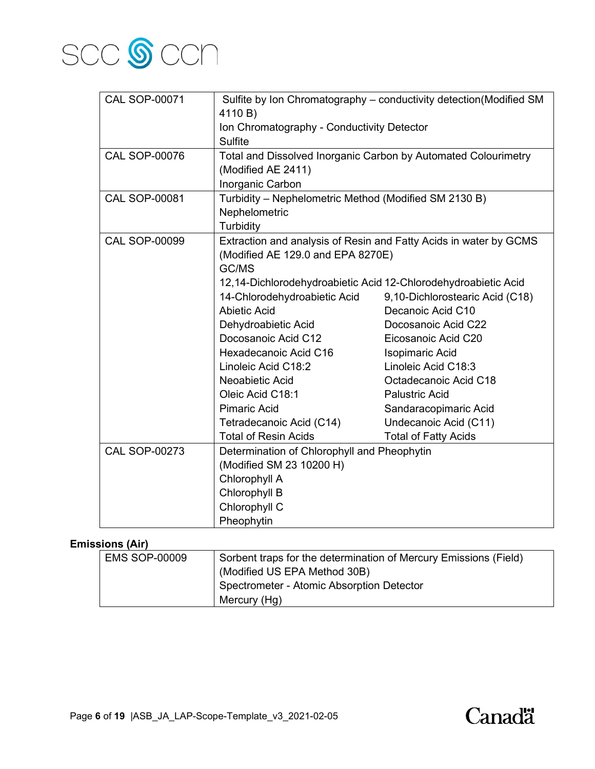

| <b>CAL SOP-00071</b> |                                                                | Sulfite by Ion Chromatography - conductivity detection (Modified SM |
|----------------------|----------------------------------------------------------------|---------------------------------------------------------------------|
|                      | 4110 B)                                                        |                                                                     |
|                      | Ion Chromatography - Conductivity Detector                     |                                                                     |
|                      | <b>Sulfite</b>                                                 |                                                                     |
| <b>CAL SOP-00076</b> | Total and Dissolved Inorganic Carbon by Automated Colourimetry |                                                                     |
|                      | (Modified AE 2411)                                             |                                                                     |
|                      | Inorganic Carbon                                               |                                                                     |
| <b>CAL SOP-00081</b> | Turbidity - Nephelometric Method (Modified SM 2130 B)          |                                                                     |
|                      | Nephelometric                                                  |                                                                     |
|                      | Turbidity                                                      |                                                                     |
| <b>CAL SOP-00099</b> |                                                                | Extraction and analysis of Resin and Fatty Acids in water by GCMS   |
|                      | (Modified AE 129.0 and EPA 8270E)                              |                                                                     |
|                      | GC/MS                                                          |                                                                     |
|                      | 12,14-Dichlorodehydroabietic Acid 12-Chlorodehydroabietic Acid |                                                                     |
|                      | 14-Chlorodehydroabietic Acid                                   | 9,10-Dichlorostearic Acid (C18)                                     |
|                      | <b>Abietic Acid</b>                                            | Decanoic Acid C10                                                   |
|                      | Dehydroabietic Acid                                            | Docosanoic Acid C22                                                 |
|                      | Docosanoic Acid C12                                            | Eicosanoic Acid C20                                                 |
|                      | Hexadecanoic Acid C16                                          | Isopimaric Acid                                                     |
|                      | Linoleic Acid C18:2                                            | Linoleic Acid C18:3                                                 |
|                      | Neoabietic Acid                                                | Octadecanoic Acid C18                                               |
|                      | Oleic Acid C18:1                                               | <b>Palustric Acid</b>                                               |
|                      | <b>Pimaric Acid</b>                                            | Sandaracopimaric Acid                                               |
|                      | Tetradecanoic Acid (C14)                                       | Undecanoic Acid (C11)                                               |
|                      | <b>Total of Resin Acids</b>                                    | <b>Total of Fatty Acids</b>                                         |
| <b>CAL SOP-00273</b> | Determination of Chlorophyll and Pheophytin                    |                                                                     |
|                      | (Modified SM 23 10200 H)                                       |                                                                     |
|                      | Chlorophyll A                                                  |                                                                     |
|                      | Chlorophyll B                                                  |                                                                     |
|                      | Chlorophyll C                                                  |                                                                     |
|                      | Pheophytin                                                     |                                                                     |

# **Emissions (Air)**

| <b>EMS SOP-00009</b> | Sorbent traps for the determination of Mercury Emissions (Field) |
|----------------------|------------------------------------------------------------------|
|                      | (Modified US EPA Method 30B)                                     |
|                      | Spectrometer - Atomic Absorption Detector                        |
|                      | Mercury (Hg)                                                     |

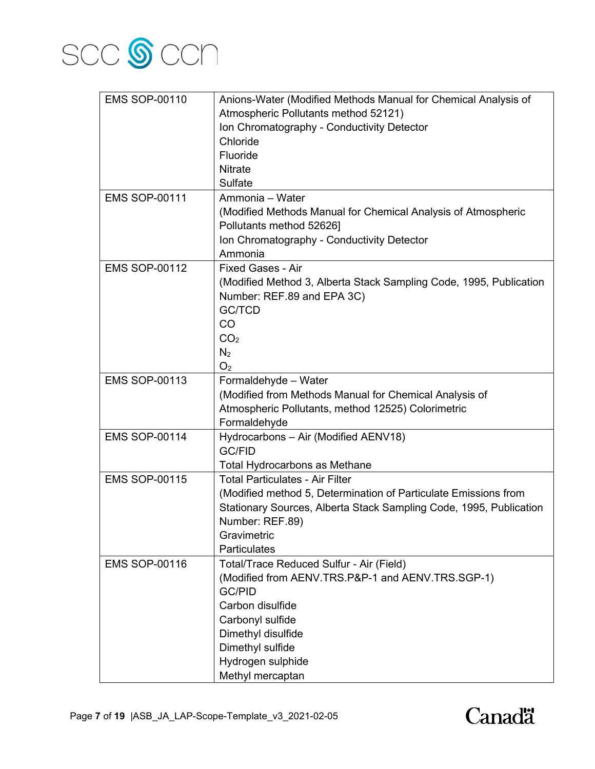

| <b>EMS SOP-00110</b> | Anions-Water (Modified Methods Manual for Chemical Analysis of     |
|----------------------|--------------------------------------------------------------------|
|                      | Atmospheric Pollutants method 52121)                               |
|                      | Ion Chromatography - Conductivity Detector                         |
|                      | Chloride                                                           |
|                      | Fluoride                                                           |
|                      | <b>Nitrate</b>                                                     |
|                      | Sulfate                                                            |
| <b>EMS SOP-00111</b> | Ammonia - Water                                                    |
|                      | (Modified Methods Manual for Chemical Analysis of Atmospheric      |
|                      | Pollutants method 52626]                                           |
|                      | Ion Chromatography - Conductivity Detector                         |
|                      | Ammonia                                                            |
| <b>EMS SOP-00112</b> | <b>Fixed Gases - Air</b>                                           |
|                      |                                                                    |
|                      | (Modified Method 3, Alberta Stack Sampling Code, 1995, Publication |
|                      | Number: REF.89 and EPA 3C)                                         |
|                      | <b>GC/TCD</b>                                                      |
|                      | CO                                                                 |
|                      | CO <sub>2</sub>                                                    |
|                      | N <sub>2</sub>                                                     |
|                      | O <sub>2</sub>                                                     |
| <b>EMS SOP-00113</b> | Formaldehyde - Water                                               |
|                      | (Modified from Methods Manual for Chemical Analysis of             |
|                      | Atmospheric Pollutants, method 12525) Colorimetric                 |
|                      | Formaldehyde                                                       |
| <b>EMS SOP-00114</b> | Hydrocarbons - Air (Modified AENV18)                               |
|                      | <b>GC/FID</b>                                                      |
|                      | <b>Total Hydrocarbons as Methane</b>                               |
| <b>EMS SOP-00115</b> | <b>Total Particulates - Air Filter</b>                             |
|                      | (Modified method 5, Determination of Particulate Emissions from    |
|                      | Stationary Sources, Alberta Stack Sampling Code, 1995, Publication |
|                      | Number: REF.89)                                                    |
|                      | Gravimetric                                                        |
|                      | <b>Particulates</b>                                                |
| <b>EMS SOP-00116</b> | Total/Trace Reduced Sulfur - Air (Field)                           |
|                      | (Modified from AENV.TRS.P&P-1 and AENV.TRS.SGP-1)                  |
|                      | <b>GC/PID</b>                                                      |
|                      | Carbon disulfide                                                   |
|                      | Carbonyl sulfide                                                   |
|                      | Dimethyl disulfide                                                 |
|                      | Dimethyl sulfide                                                   |
|                      | Hydrogen sulphide                                                  |
|                      | Methyl mercaptan                                                   |

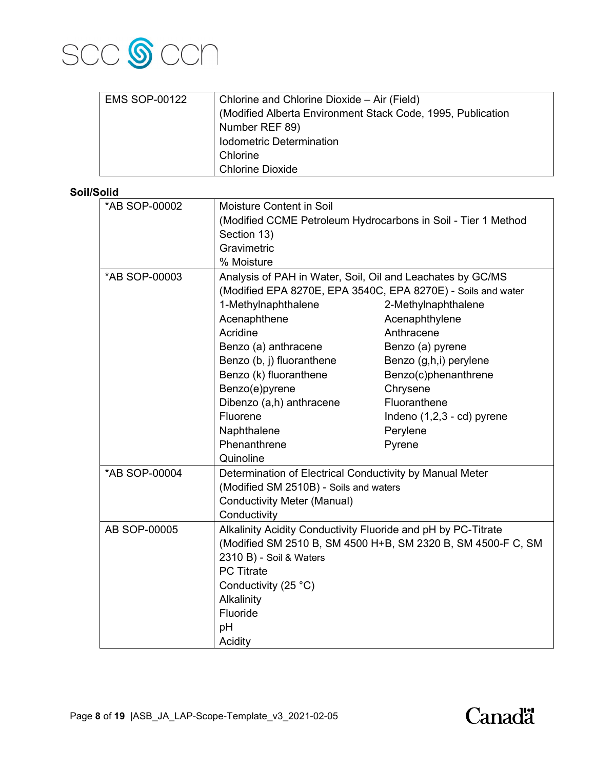

| <b>EMS SOP-00122</b> | Chlorine and Chlorine Dioxide – Air (Field)                 |
|----------------------|-------------------------------------------------------------|
|                      | (Modified Alberta Environment Stack Code, 1995, Publication |
|                      | Number REF 89)                                              |
|                      | Iodometric Determination                                    |
|                      | Chlorine                                                    |
|                      | <b>Chlorine Dioxide</b>                                     |

# **Soil/Solid**

|               | Moisture Content in Soil                                                                                                   |                                                              |  |
|---------------|----------------------------------------------------------------------------------------------------------------------------|--------------------------------------------------------------|--|
| *AB SOP-00002 |                                                                                                                            |                                                              |  |
|               | (Modified CCME Petroleum Hydrocarbons in Soil - Tier 1 Method                                                              |                                                              |  |
|               | Section 13)                                                                                                                |                                                              |  |
|               | Gravimetric                                                                                                                |                                                              |  |
|               | % Moisture                                                                                                                 |                                                              |  |
| *AB SOP-00003 | Analysis of PAH in Water, Soil, Oil and Leachates by GC/MS<br>(Modified EPA 8270E, EPA 3540C, EPA 8270E) - Soils and water |                                                              |  |
|               |                                                                                                                            |                                                              |  |
|               | 1-Methylnaphthalene                                                                                                        | 2-Methylnaphthalene                                          |  |
|               | Acenaphthene                                                                                                               | Acenaphthylene                                               |  |
|               | Acridine                                                                                                                   | Anthracene                                                   |  |
|               | Benzo (a) anthracene                                                                                                       | Benzo (a) pyrene                                             |  |
|               | Benzo (b, j) fluoranthene                                                                                                  | Benzo (g,h,i) perylene                                       |  |
|               | Benzo (k) fluoranthene                                                                                                     | Benzo(c)phenanthrene                                         |  |
|               | Benzo(e)pyrene                                                                                                             | Chrysene                                                     |  |
|               | Dibenzo (a,h) anthracene                                                                                                   | Fluoranthene                                                 |  |
|               | Fluorene                                                                                                                   | Indeno (1,2,3 - cd) pyrene                                   |  |
|               | Naphthalene                                                                                                                | Perylene                                                     |  |
|               | Phenanthrene                                                                                                               | Pyrene                                                       |  |
|               | Quinoline                                                                                                                  |                                                              |  |
| *AB SOP-00004 | Determination of Electrical Conductivity by Manual Meter                                                                   |                                                              |  |
|               | (Modified SM 2510B) - Soils and waters                                                                                     |                                                              |  |
|               | <b>Conductivity Meter (Manual)</b>                                                                                         |                                                              |  |
|               | Conductivity                                                                                                               |                                                              |  |
| AB SOP-00005  | Alkalinity Acidity Conductivity Fluoride and pH by PC-Titrate                                                              |                                                              |  |
|               |                                                                                                                            | (Modified SM 2510 B, SM 4500 H+B, SM 2320 B, SM 4500-F C, SM |  |
|               | 2310 B) - Soil & Waters                                                                                                    |                                                              |  |
|               | <b>PC Titrate</b>                                                                                                          |                                                              |  |
|               | Conductivity (25 °C)                                                                                                       |                                                              |  |
|               | Alkalinity                                                                                                                 |                                                              |  |
|               | Fluoride                                                                                                                   |                                                              |  |
|               | pH                                                                                                                         |                                                              |  |
|               | Acidity                                                                                                                    |                                                              |  |
|               |                                                                                                                            |                                                              |  |

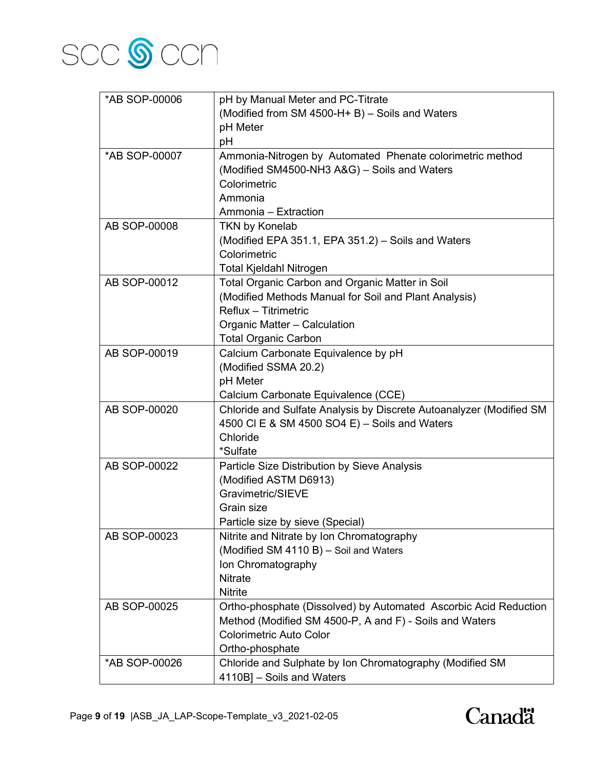

| *AB SOP-00006 | pH by Manual Meter and PC-Titrate                                   |
|---------------|---------------------------------------------------------------------|
|               | (Modified from SM 4500-H+ B) - Soils and Waters                     |
|               | pH Meter                                                            |
|               | pH                                                                  |
| *AB SOP-00007 | Ammonia-Nitrogen by Automated Phenate colorimetric method           |
|               | (Modified SM4500-NH3 A&G) - Soils and Waters                        |
|               | Colorimetric                                                        |
|               | Ammonia                                                             |
|               | Ammonia - Extraction                                                |
| AB SOP-00008  | <b>TKN by Konelab</b>                                               |
|               | (Modified EPA 351.1, EPA 351.2) - Soils and Waters                  |
|               | Colorimetric                                                        |
|               | Total Kjeldahl Nitrogen                                             |
| AB SOP-00012  | Total Organic Carbon and Organic Matter in Soil                     |
|               | (Modified Methods Manual for Soil and Plant Analysis)               |
|               | Reflux - Titrimetric                                                |
|               | Organic Matter - Calculation                                        |
|               | <b>Total Organic Carbon</b>                                         |
| AB SOP-00019  | Calcium Carbonate Equivalence by pH                                 |
|               | (Modified SSMA 20.2)                                                |
|               | pH Meter                                                            |
|               | Calcium Carbonate Equivalence (CCE)                                 |
| AB SOP-00020  | Chloride and Sulfate Analysis by Discrete Autoanalyzer (Modified SM |
|               | 4500 CI E & SM 4500 SO4 E) - Soils and Waters                       |
|               | Chloride                                                            |
|               | *Sulfate                                                            |
| AB SOP-00022  | Particle Size Distribution by Sieve Analysis                        |
|               | (Modified ASTM D6913)                                               |
|               | Gravimetric/SIEVE                                                   |
|               | Grain size                                                          |
|               | Particle size by sieve (Special)                                    |
| AB SOP-00023  | Nitrite and Nitrate by Ion Chromatography                           |
|               | (Modified SM 4110 B) - Soil and Waters                              |
|               | Ion Chromatography                                                  |
|               | <b>Nitrate</b>                                                      |
|               | <b>Nitrite</b>                                                      |
| AB SOP-00025  | Ortho-phosphate (Dissolved) by Automated Ascorbic Acid Reduction    |
|               | Method (Modified SM 4500-P, A and F) - Soils and Waters             |
|               | <b>Colorimetric Auto Color</b>                                      |
|               | Ortho-phosphate                                                     |
| *AB SOP-00026 | Chloride and Sulphate by Ion Chromatography (Modified SM            |
|               | 4110B] - Soils and Waters                                           |

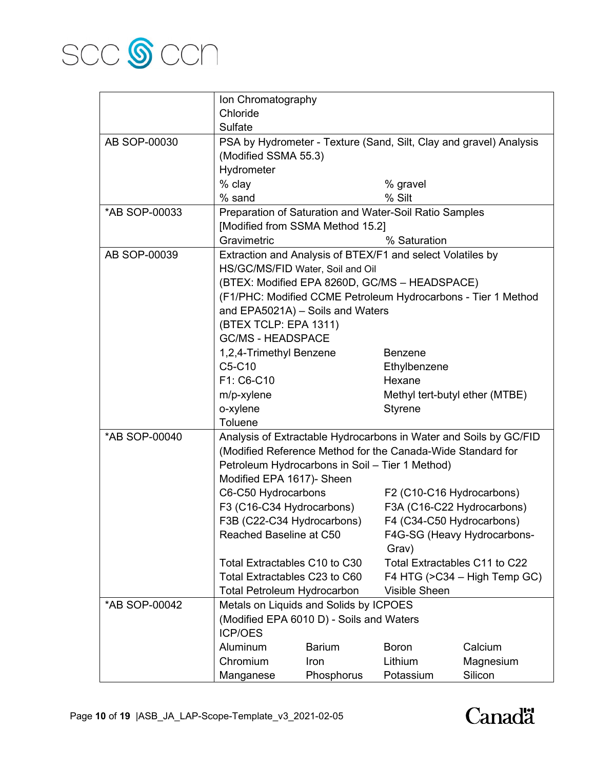

|               | Ion Chromatography                 |                                                             |                           |                                                                    |
|---------------|------------------------------------|-------------------------------------------------------------|---------------------------|--------------------------------------------------------------------|
|               | Chloride                           |                                                             |                           |                                                                    |
|               | Sulfate                            |                                                             |                           |                                                                    |
| AB SOP-00030  |                                    |                                                             |                           | PSA by Hydrometer - Texture (Sand, Silt, Clay and gravel) Analysis |
|               | (Modified SSMA 55.3)               |                                                             |                           |                                                                    |
|               | Hydrometer                         |                                                             |                           |                                                                    |
|               | % clay                             |                                                             | % gravel                  |                                                                    |
|               | % sand                             |                                                             | % Silt                    |                                                                    |
| *AB SOP-00033 |                                    | Preparation of Saturation and Water-Soil Ratio Samples      |                           |                                                                    |
|               |                                    | [Modified from SSMA Method 15.2]                            |                           |                                                                    |
|               | Gravimetric                        |                                                             | % Saturation              |                                                                    |
| AB SOP-00039  |                                    | Extraction and Analysis of BTEX/F1 and select Volatiles by  |                           |                                                                    |
|               |                                    | HS/GC/MS/FID Water, Soil and Oil                            |                           |                                                                    |
|               |                                    | (BTEX: Modified EPA 8260D, GC/MS - HEADSPACE)               |                           |                                                                    |
|               |                                    |                                                             |                           | (F1/PHC: Modified CCME Petroleum Hydrocarbons - Tier 1 Method      |
|               |                                    | and EPA5021A) - Soils and Waters                            |                           |                                                                    |
|               | (BTEX TCLP: EPA 1311)              |                                                             |                           |                                                                    |
|               | <b>GC/MS - HEADSPACE</b>           |                                                             |                           |                                                                    |
|               | 1,2,4-Trimethyl Benzene            |                                                             | <b>Benzene</b>            |                                                                    |
|               | C5-C10                             |                                                             | Ethylbenzene              |                                                                    |
|               | F1: C6-C10                         |                                                             | Hexane                    |                                                                    |
|               | m/p-xylene                         |                                                             |                           | Methyl tert-butyl ether (MTBE)                                     |
|               | o-xylene                           |                                                             | <b>Styrene</b>            |                                                                    |
|               | Toluene                            |                                                             |                           |                                                                    |
| *AB SOP-00040 |                                    |                                                             |                           | Analysis of Extractable Hydrocarbons in Water and Soils by GC/FID  |
|               |                                    | (Modified Reference Method for the Canada-Wide Standard for |                           |                                                                    |
|               |                                    | Petroleum Hydrocarbons in Soil - Tier 1 Method)             |                           |                                                                    |
|               | Modified EPA 1617)- Sheen          |                                                             |                           |                                                                    |
|               | C6-C50 Hydrocarbons                |                                                             | F2 (C10-C16 Hydrocarbons) |                                                                    |
|               | F3 (C16-C34 Hydrocarbons)          |                                                             |                           | F3A (C16-C22 Hydrocarbons)                                         |
|               | F3B (C22-C34 Hydrocarbons)         |                                                             | F4 (C34-C50 Hydrocarbons) |                                                                    |
|               | Reached Baseline at C50            |                                                             |                           | F4G-SG (Heavy Hydrocarbons-                                        |
|               |                                    |                                                             | Grav)                     |                                                                    |
|               | Total Extractables C10 to C30      |                                                             |                           | Total Extractables C11 to C22                                      |
|               | Total Extractables C23 to C60      |                                                             |                           | F4 HTG (>C34 - High Temp GC)                                       |
|               | <b>Total Petroleum Hydrocarbon</b> |                                                             | <b>Visible Sheen</b>      |                                                                    |
| *AB SOP-00042 |                                    | Metals on Liquids and Solids by ICPOES                      |                           |                                                                    |
|               | <b>ICP/OES</b>                     | (Modified EPA 6010 D) - Soils and Waters                    |                           |                                                                    |
|               | Aluminum                           | <b>Barium</b>                                               | <b>Boron</b>              | Calcium                                                            |
|               | Chromium                           | Iron                                                        | Lithium                   | Magnesium                                                          |
|               | Manganese                          | Phosphorus                                                  | Potassium                 | Silicon                                                            |

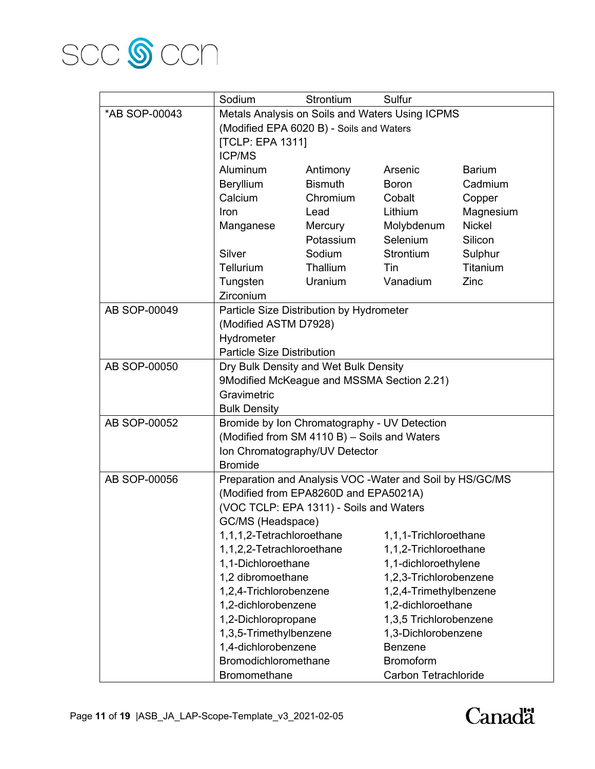

|               | Sodium                                                                              | Strontium      | Sulfur                 |               |
|---------------|-------------------------------------------------------------------------------------|----------------|------------------------|---------------|
| *AB SOP-00043 | Metals Analysis on Soils and Waters Using ICPMS                                     |                |                        |               |
|               | (Modified EPA 6020 B) - Soils and Waters                                            |                |                        |               |
|               | <b>[TCLP: EPA 1311]</b>                                                             |                |                        |               |
|               | <b>ICP/MS</b>                                                                       |                |                        |               |
|               | Aluminum                                                                            | Antimony       | Arsenic                | <b>Barium</b> |
|               | <b>Beryllium</b>                                                                    | <b>Bismuth</b> | Boron                  | Cadmium       |
|               | Calcium                                                                             | Chromium       | Cobalt                 | Copper        |
|               | Iron                                                                                | Lead           | Lithium                | Magnesium     |
|               | Manganese                                                                           | Mercury        | Molybdenum             | <b>Nickel</b> |
|               |                                                                                     | Potassium      | Selenium               | Silicon       |
|               | Silver                                                                              | Sodium         | Strontium              | Sulphur       |
|               | <b>Tellurium</b>                                                                    | Thallium       | Tin                    | Titanium      |
|               | Tungsten                                                                            | Uranium        | Vanadium               | Zinc          |
|               | Zirconium                                                                           |                |                        |               |
| AB SOP-00049  | Particle Size Distribution by Hydrometer                                            |                |                        |               |
|               | (Modified ASTM D7928)                                                               |                |                        |               |
|               | Hydrometer                                                                          |                |                        |               |
|               | <b>Particle Size Distribution</b>                                                   |                |                        |               |
| AB SOP-00050  | Dry Bulk Density and Wet Bulk Density<br>9Modified McKeague and MSSMA Section 2.21) |                |                        |               |
|               |                                                                                     |                |                        |               |
|               | Gravimetric                                                                         |                |                        |               |
|               | <b>Bulk Density</b>                                                                 |                |                        |               |
| AB SOP-00052  | Bromide by Ion Chromatography - UV Detection                                        |                |                        |               |
|               | (Modified from SM 4110 B) - Soils and Waters                                        |                |                        |               |
|               | Ion Chromatography/UV Detector                                                      |                |                        |               |
|               | <b>Bromide</b>                                                                      |                |                        |               |
| AB SOP-00056  | Preparation and Analysis VOC - Water and Soil by HS/GC/MS                           |                |                        |               |
|               | (Modified from EPA8260D and EPA5021A)                                               |                |                        |               |
|               | (VOC TCLP: EPA 1311) - Soils and Waters                                             |                |                        |               |
|               | GC/MS (Headspace)                                                                   |                |                        |               |
|               | 1,1,1,2-Tetrachloroethane                                                           |                | 1,1,1-Trichloroethane  |               |
|               | 1,1,2,2-Tetrachloroethane                                                           |                | 1,1,2-Trichloroethane  |               |
|               | 1,1-Dichloroethane                                                                  |                | 1,1-dichloroethylene   |               |
|               | 1,2 dibromoethane                                                                   |                | 1,2,3-Trichlorobenzene |               |
|               | 1,2,4-Trichlorobenzene                                                              |                | 1,2,4-Trimethylbenzene |               |
|               | 1,2-dichlorobenzene                                                                 |                | 1,2-dichloroethane     |               |
|               | 1,2-Dichloropropane                                                                 |                | 1,3,5 Trichlorobenzene |               |
|               | 1,3,5-Trimethylbenzene                                                              |                | 1,3-Dichlorobenzene    |               |
|               | 1,4-dichlorobenzene                                                                 |                | <b>Benzene</b>         |               |
|               | Bromodichloromethane                                                                |                | <b>Bromoform</b>       |               |
|               | Bromomethane                                                                        |                | Carbon Tetrachloride   |               |

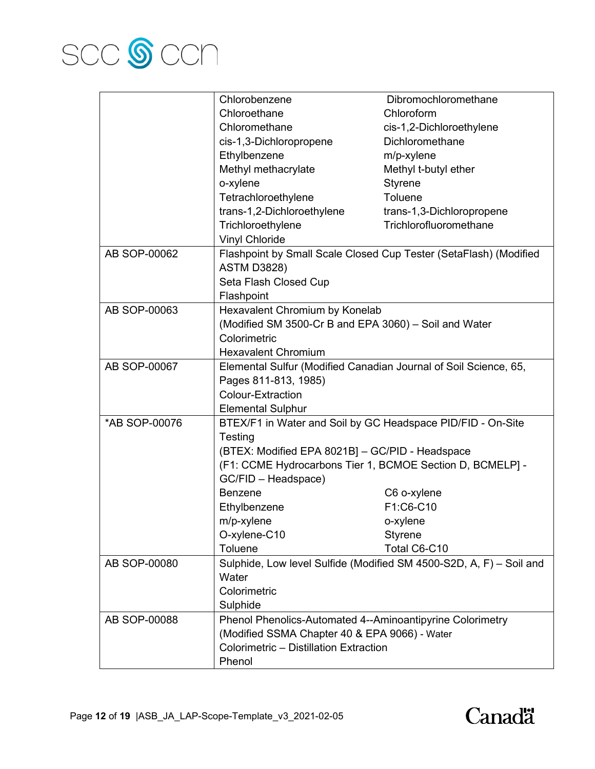

|               | Chlorobenzene                                                    | Dibromochloromethane                                                |  |
|---------------|------------------------------------------------------------------|---------------------------------------------------------------------|--|
|               | Chloroethane                                                     | Chloroform                                                          |  |
|               | Chloromethane                                                    | cis-1,2-Dichloroethylene                                            |  |
|               | cis-1,3-Dichloropropene                                          | Dichloromethane                                                     |  |
|               | Ethylbenzene                                                     | m/p-xylene                                                          |  |
|               | Methyl methacrylate                                              | Methyl t-butyl ether                                                |  |
|               | o-xylene                                                         | <b>Styrene</b>                                                      |  |
|               | Tetrachloroethylene                                              | Toluene                                                             |  |
|               | trans-1,2-Dichloroethylene                                       | trans-1,3-Dichloropropene                                           |  |
|               | Trichloroethylene                                                | Trichlorofluoromethane                                              |  |
|               | <b>Vinyl Chloride</b>                                            |                                                                     |  |
| AB SOP-00062  |                                                                  | Flashpoint by Small Scale Closed Cup Tester (SetaFlash) (Modified   |  |
|               | <b>ASTM D3828)</b>                                               |                                                                     |  |
|               | Seta Flash Closed Cup                                            |                                                                     |  |
|               | Flashpoint                                                       |                                                                     |  |
| AB SOP-00063  | Hexavalent Chromium by Konelab                                   |                                                                     |  |
|               | (Modified SM 3500-Cr B and EPA 3060) - Soil and Water            |                                                                     |  |
|               | Colorimetric                                                     |                                                                     |  |
|               | <b>Hexavalent Chromium</b>                                       |                                                                     |  |
| AB SOP-00067  | Elemental Sulfur (Modified Canadian Journal of Soil Science, 65, |                                                                     |  |
|               | Pages 811-813, 1985)                                             |                                                                     |  |
|               | <b>Colour-Extraction</b>                                         |                                                                     |  |
|               | <b>Elemental Sulphur</b>                                         |                                                                     |  |
| *AB SOP-00076 | BTEX/F1 in Water and Soil by GC Headspace PID/FID - On-Site      |                                                                     |  |
|               | Testing                                                          |                                                                     |  |
|               | (BTEX: Modified EPA 8021B] - GC/PID - Headspace                  |                                                                     |  |
|               | (F1: CCME Hydrocarbons Tier 1, BCMOE Section D, BCMELP] -        |                                                                     |  |
|               | GC/FID - Headspace)                                              |                                                                     |  |
|               | <b>Benzene</b>                                                   | C6 o-xylene                                                         |  |
|               | Ethylbenzene                                                     | F1:C6-C10                                                           |  |
|               | m/p-xylene                                                       | o-xylene                                                            |  |
|               | O-xylene-C10                                                     | <b>Styrene</b>                                                      |  |
|               | Toluene                                                          | Total C6-C10                                                        |  |
| AB SOP-00080  |                                                                  | Sulphide, Low level Sulfide (Modified SM 4500-S2D, A, F) - Soil and |  |
|               | Water                                                            |                                                                     |  |
|               | Colorimetric                                                     |                                                                     |  |
|               | Sulphide                                                         |                                                                     |  |
| AB SOP-00088  | Phenol Phenolics-Automated 4--Aminoantipyrine Colorimetry        |                                                                     |  |
|               | (Modified SSMA Chapter 40 & EPA 9066) - Water                    |                                                                     |  |
|               | Colorimetric - Distillation Extraction                           |                                                                     |  |
|               | Phenol                                                           |                                                                     |  |

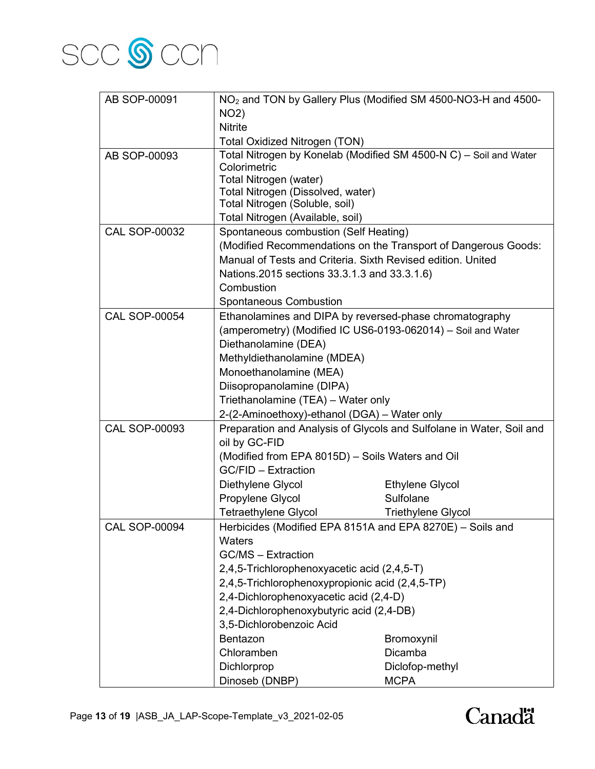

| AB SOP-00091         |                                                                                                                                       | NO <sub>2</sub> and TON by Gallery Plus (Modified SM 4500-NO3-H and 4500- |  |
|----------------------|---------------------------------------------------------------------------------------------------------------------------------------|---------------------------------------------------------------------------|--|
|                      | <b>NO2)</b>                                                                                                                           |                                                                           |  |
|                      | <b>Nitrite</b>                                                                                                                        |                                                                           |  |
|                      | <b>Total Oxidized Nitrogen (TON)</b>                                                                                                  |                                                                           |  |
| AB SOP-00093         | Total Nitrogen by Konelab (Modified SM 4500-N C) - Soil and Water                                                                     |                                                                           |  |
|                      | Colorimetric                                                                                                                          |                                                                           |  |
|                      | Total Nitrogen (water)                                                                                                                |                                                                           |  |
|                      | Total Nitrogen (Dissolved, water)<br>Total Nitrogen (Soluble, soil)                                                                   |                                                                           |  |
|                      | Total Nitrogen (Available, soil)                                                                                                      |                                                                           |  |
| <b>CAL SOP-00032</b> | Spontaneous combustion (Self Heating)                                                                                                 |                                                                           |  |
|                      |                                                                                                                                       |                                                                           |  |
|                      |                                                                                                                                       | (Modified Recommendations on the Transport of Dangerous Goods:            |  |
|                      | Manual of Tests and Criteria. Sixth Revised edition. United                                                                           |                                                                           |  |
|                      | Nations.2015 sections 33.3.1.3 and 33.3.1.6)                                                                                          |                                                                           |  |
|                      | Combustion                                                                                                                            |                                                                           |  |
|                      | <b>Spontaneous Combustion</b>                                                                                                         |                                                                           |  |
| <b>CAL SOP-00054</b> | Ethanolamines and DIPA by reversed-phase chromatography                                                                               |                                                                           |  |
|                      | (amperometry) (Modified IC US6-0193-062014) - Soil and Water                                                                          |                                                                           |  |
|                      | Diethanolamine (DEA)                                                                                                                  |                                                                           |  |
|                      | Methyldiethanolamine (MDEA)                                                                                                           |                                                                           |  |
|                      | Monoethanolamine (MEA)                                                                                                                |                                                                           |  |
|                      | Diisopropanolamine (DIPA)                                                                                                             |                                                                           |  |
|                      | Triethanolamine (TEA) - Water only                                                                                                    |                                                                           |  |
|                      | 2-(2-Aminoethoxy)-ethanol (DGA) - Water only                                                                                          |                                                                           |  |
| <b>CAL SOP-00093</b> | Preparation and Analysis of Glycols and Sulfolane in Water, Soil and                                                                  |                                                                           |  |
|                      | oil by GC-FID                                                                                                                         |                                                                           |  |
|                      | (Modified from EPA 8015D) - Soils Waters and Oil                                                                                      |                                                                           |  |
|                      | GC/FID - Extraction                                                                                                                   |                                                                           |  |
|                      | Diethylene Glycol                                                                                                                     | <b>Ethylene Glycol</b>                                                    |  |
|                      | Propylene Glycol                                                                                                                      | Sulfolane                                                                 |  |
|                      | <b>Tetraethylene Glycol</b>                                                                                                           | <b>Triethylene Glycol</b>                                                 |  |
| <b>CAL SOP-00094</b> | Herbicides (Modified EPA 8151A and EPA 8270E) - Soils and                                                                             |                                                                           |  |
|                      | Waters                                                                                                                                |                                                                           |  |
|                      | <b>GC/MS - Extraction</b>                                                                                                             |                                                                           |  |
|                      | 2,4,5-Trichlorophenoxyacetic acid (2,4,5-T)                                                                                           |                                                                           |  |
|                      | 2,4,5-Trichlorophenoxypropionic acid (2,4,5-TP)<br>2,4-Dichlorophenoxyacetic acid (2,4-D)<br>2,4-Dichlorophenoxybutyric acid (2,4-DB) |                                                                           |  |
|                      |                                                                                                                                       |                                                                           |  |
|                      |                                                                                                                                       |                                                                           |  |
|                      | 3,5-Dichlorobenzoic Acid                                                                                                              |                                                                           |  |
|                      | Bentazon                                                                                                                              | Bromoxynil                                                                |  |
|                      | Chloramben                                                                                                                            | Dicamba                                                                   |  |
|                      | Dichlorprop                                                                                                                           | Diclofop-methyl                                                           |  |
|                      | Dinoseb (DNBP)                                                                                                                        | <b>MCPA</b>                                                               |  |

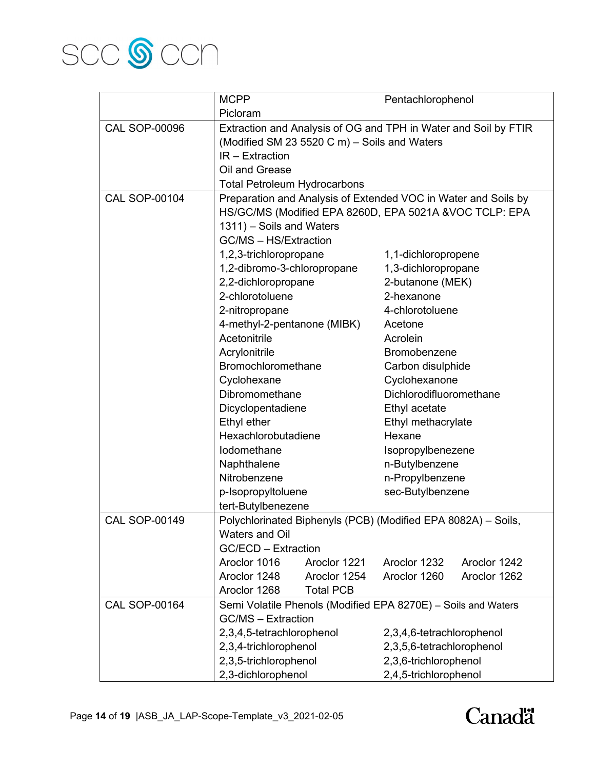

|                      | <b>MCPP</b>                                                     |                  | Pentachlorophenol         |              |
|----------------------|-----------------------------------------------------------------|------------------|---------------------------|--------------|
|                      | Picloram                                                        |                  |                           |              |
| <b>CAL SOP-00096</b> | Extraction and Analysis of OG and TPH in Water and Soil by FTIR |                  |                           |              |
|                      | (Modified SM 23 5520 C m) - Soils and Waters                    |                  |                           |              |
|                      | $IR - Extraction$                                               |                  |                           |              |
|                      | Oil and Grease                                                  |                  |                           |              |
|                      | <b>Total Petroleum Hydrocarbons</b>                             |                  |                           |              |
| <b>CAL SOP-00104</b> | Preparation and Analysis of Extended VOC in Water and Soils by  |                  |                           |              |
|                      | HS/GC/MS (Modified EPA 8260D, EPA 5021A &VOC TCLP: EPA          |                  |                           |              |
|                      | 1311) - Soils and Waters                                        |                  |                           |              |
|                      | GC/MS - HS/Extraction                                           |                  |                           |              |
|                      | 1,2,3-trichloropropane                                          |                  | 1,1-dichloropropene       |              |
|                      | 1,2-dibromo-3-chloropropane                                     |                  | 1,3-dichloropropane       |              |
|                      | 2,2-dichloropropane                                             |                  | 2-butanone (MEK)          |              |
|                      | 2-chlorotoluene                                                 |                  | 2-hexanone                |              |
|                      | 2-nitropropane                                                  |                  | 4-chlorotoluene           |              |
|                      | 4-methyl-2-pentanone (MIBK)                                     |                  | Acetone                   |              |
|                      | Acetonitrile                                                    |                  | Acrolein                  |              |
|                      | Acrylonitrile<br>Bromobenzene                                   |                  |                           |              |
|                      | Bromochloromethane<br>Carbon disulphide                         |                  |                           |              |
|                      | Cyclohexane<br>Cyclohexanone                                    |                  |                           |              |
|                      | Dibromomethane                                                  |                  | Dichlorodifluoromethane   |              |
|                      | Dicyclopentadiene                                               |                  | Ethyl acetate             |              |
|                      | Ethyl ether                                                     |                  | Ethyl methacrylate        |              |
|                      | Hexachlorobutadiene                                             |                  | Hexane                    |              |
|                      | lodomethane                                                     |                  | Isopropylbenezene         |              |
|                      | Naphthalene                                                     |                  | n-Butylbenzene            |              |
|                      | Nitrobenzene                                                    |                  | n-Propylbenzene           |              |
|                      | p-Isopropyltoluene                                              |                  | sec-Butylbenzene          |              |
|                      | tert-Butylbenezene                                              |                  |                           |              |
| <b>CAL SOP-00149</b> | Polychlorinated Biphenyls (PCB) (Modified EPA 8082A) - Soils,   |                  |                           |              |
|                      | <b>Waters and Oil</b>                                           |                  |                           |              |
|                      | <b>GC/ECD - Extraction</b>                                      |                  |                           |              |
|                      | Aroclor 1016                                                    | Aroclor 1221     | Aroclor 1232              | Aroclor 1242 |
|                      | Aroclor 1248                                                    | Aroclor 1254     | Aroclor 1260              | Aroclor 1262 |
|                      | Aroclor 1268                                                    | <b>Total PCB</b> |                           |              |
| <b>CAL SOP-00164</b> | Semi Volatile Phenols (Modified EPA 8270E) - Soils and Waters   |                  |                           |              |
|                      | <b>GC/MS - Extraction</b>                                       |                  |                           |              |
|                      | 2,3,4,5-tetrachlorophenol                                       |                  | 2,3,4,6-tetrachlorophenol |              |
|                      | 2,3,4-trichlorophenol                                           |                  | 2,3,5,6-tetrachlorophenol |              |
|                      | 2,3,5-trichlorophenol                                           |                  | 2,3,6-trichlorophenol     |              |
|                      | 2,3-dichlorophenol                                              |                  | 2,4,5-trichlorophenol     |              |

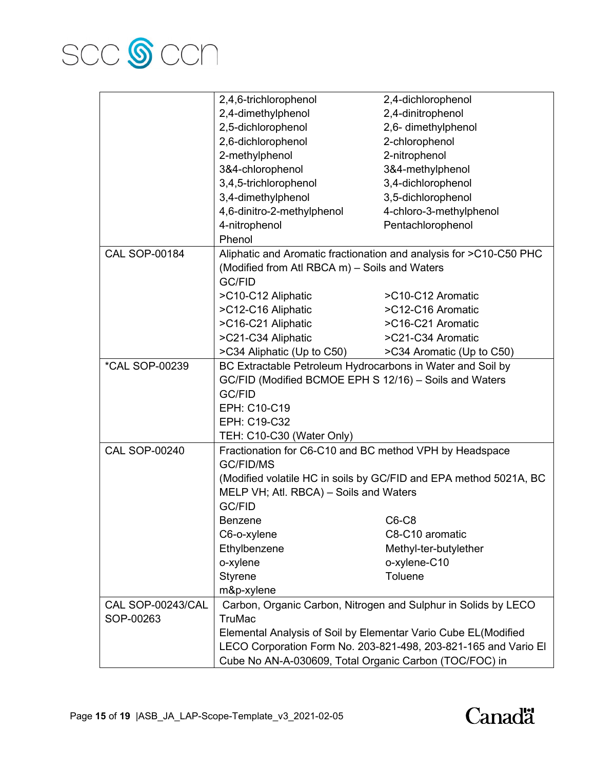

|                              | 2,4,6-trichlorophenol                                             | 2,4-dichlorophenol                                                 |  |
|------------------------------|-------------------------------------------------------------------|--------------------------------------------------------------------|--|
|                              | 2,4-dimethylphenol                                                | 2,4-dinitrophenol                                                  |  |
|                              | 2,5-dichlorophenol                                                | 2,6- dimethylphenol                                                |  |
|                              | 2,6-dichlorophenol                                                | 2-chlorophenol                                                     |  |
|                              | 2-methylphenol                                                    | 2-nitrophenol                                                      |  |
|                              | 3&4-chlorophenol                                                  | 3&4-methylphenol                                                   |  |
|                              | 3,4,5-trichlorophenol                                             | 3,4-dichlorophenol                                                 |  |
|                              | 3,4-dimethylphenol                                                | 3,5-dichlorophenol                                                 |  |
|                              | 4,6-dinitro-2-methylphenol                                        | 4-chloro-3-methylphenol                                            |  |
|                              | 4-nitrophenol                                                     | Pentachlorophenol                                                  |  |
|                              | Phenol                                                            |                                                                    |  |
| <b>CAL SOP-00184</b>         |                                                                   | Aliphatic and Aromatic fractionation and analysis for >C10-C50 PHC |  |
|                              | (Modified from Atl RBCA m) - Soils and Waters                     |                                                                    |  |
|                              | GC/FID                                                            |                                                                    |  |
|                              | >C10-C12 Aliphatic                                                | >C10-C12 Aromatic                                                  |  |
|                              | >C12-C16 Aliphatic                                                | >C12-C16 Aromatic                                                  |  |
|                              | >C16-C21 Aliphatic                                                | >C16-C21 Aromatic                                                  |  |
|                              | >C21-C34 Aliphatic                                                | >C21-C34 Aromatic                                                  |  |
|                              | >C34 Aliphatic (Up to C50)                                        | >C34 Aromatic (Up to C50)                                          |  |
| <i><b>*CAL SOP-00239</b></i> | BC Extractable Petroleum Hydrocarbons in Water and Soil by        |                                                                    |  |
|                              | GC/FID (Modified BCMOE EPH S 12/16) - Soils and Waters            |                                                                    |  |
|                              | <b>GC/FID</b>                                                     |                                                                    |  |
|                              | EPH: C10-C19                                                      |                                                                    |  |
|                              | EPH: C19-C32                                                      |                                                                    |  |
|                              | TEH: C10-C30 (Water Only)                                         |                                                                    |  |
| <b>CAL SOP-00240</b>         | Fractionation for C6-C10 and BC method VPH by Headspace           |                                                                    |  |
|                              | <b>GC/FID/MS</b>                                                  |                                                                    |  |
|                              | (Modified volatile HC in soils by GC/FID and EPA method 5021A, BC |                                                                    |  |
|                              | MELP VH; Atl. RBCA) - Soils and Waters                            |                                                                    |  |
|                              | <b>GC/FID</b>                                                     |                                                                    |  |
|                              | <b>Benzene</b>                                                    | C6-C8                                                              |  |
|                              | C6-o-xylene                                                       | C8-C10 aromatic                                                    |  |
|                              | Ethylbenzene                                                      | Methyl-ter-butylether                                              |  |
|                              | o-xylene                                                          | o-xylene-C10                                                       |  |
|                              | <b>Styrene</b>                                                    | Toluene                                                            |  |
|                              | m&p-xylene                                                        |                                                                    |  |
| CAL SOP-00243/CAL            |                                                                   | Carbon, Organic Carbon, Nitrogen and Sulphur in Solids by LECO     |  |
| SOP-00263                    | <b>TruMac</b>                                                     |                                                                    |  |
|                              | Elemental Analysis of Soil by Elementar Vario Cube EL(Modified    |                                                                    |  |
|                              |                                                                   | LECO Corporation Form No. 203-821-498, 203-821-165 and Vario El    |  |
|                              | Cube No AN-A-030609, Total Organic Carbon (TOC/FOC) in            |                                                                    |  |

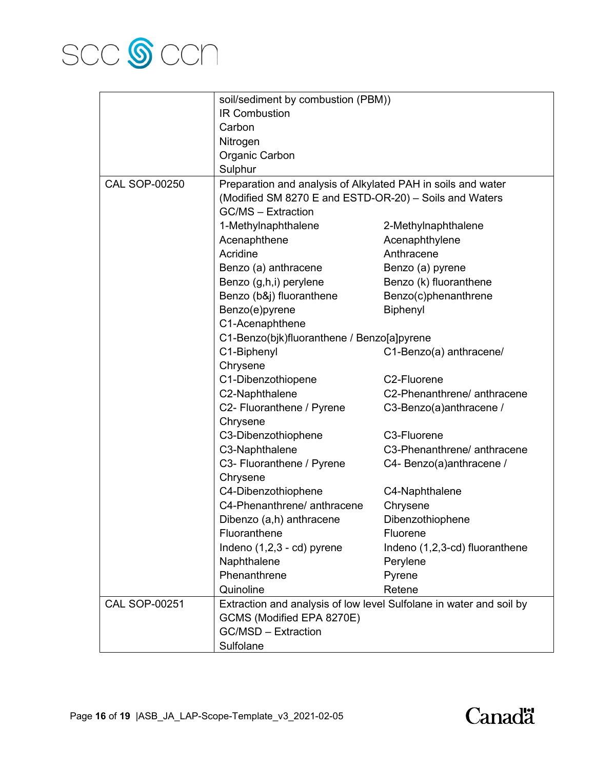

|                      | soil/sediment by combustion (PBM))                                  |                                |  |
|----------------------|---------------------------------------------------------------------|--------------------------------|--|
|                      | <b>IR Combustion</b>                                                |                                |  |
|                      | Carbon                                                              |                                |  |
|                      | Nitrogen                                                            |                                |  |
|                      | Organic Carbon                                                      |                                |  |
|                      | Sulphur                                                             |                                |  |
| <b>CAL SOP-00250</b> | Preparation and analysis of Alkylated PAH in soils and water        |                                |  |
|                      | (Modified SM 8270 E and ESTD-OR-20) - Soils and Waters              |                                |  |
|                      | <b>GC/MS - Extraction</b>                                           |                                |  |
|                      | 1-Methylnaphthalene                                                 | 2-Methylnaphthalene            |  |
|                      | Acenaphthene                                                        | Acenaphthylene                 |  |
|                      | Acridine                                                            | Anthracene                     |  |
|                      | Benzo (a) anthracene                                                | Benzo (a) pyrene               |  |
|                      | Benzo (g,h,i) perylene                                              | Benzo (k) fluoranthene         |  |
|                      | Benzo (b&j) fluoranthene                                            | Benzo(c)phenanthrene           |  |
|                      | Benzo(e)pyrene                                                      | Biphenyl                       |  |
|                      | C1-Acenaphthene                                                     |                                |  |
|                      | C1-Benzo(bjk)fluoranthene / Benzo[a]pyrene                          |                                |  |
|                      | C1-Biphenyl                                                         | C1-Benzo(a) anthracene/        |  |
|                      | Chrysene                                                            |                                |  |
|                      | C1-Dibenzothiopene                                                  | C <sub>2</sub> -Fluorene       |  |
|                      | C2-Naphthalene                                                      | C2-Phenanthrene/ anthracene    |  |
|                      | C2- Fluoranthene / Pyrene                                           | C3-Benzo(a)anthracene /        |  |
|                      | Chrysene                                                            |                                |  |
|                      | C3-Dibenzothiophene                                                 | C3-Fluorene                    |  |
|                      | C3-Naphthalene                                                      | C3-Phenanthrene/ anthracene    |  |
|                      | C3- Fluoranthene / Pyrene                                           | C4- Benzo(a)anthracene /       |  |
|                      | Chrysene                                                            |                                |  |
|                      | C4-Dibenzothiophene                                                 | C4-Naphthalene                 |  |
|                      | C4-Phenanthrene/ anthracene                                         | Chrysene                       |  |
|                      | Dibenzo (a,h) anthracene                                            | Dibenzothiophene               |  |
|                      | Fluoranthene                                                        | Fluorene                       |  |
|                      | Indeno (1,2,3 - cd) pyrene                                          | Indeno (1,2,3-cd) fluoranthene |  |
|                      | Naphthalene                                                         | Perylene                       |  |
|                      | Phenanthrene                                                        | Pyrene                         |  |
|                      | Quinoline                                                           | Retene                         |  |
| <b>CAL SOP-00251</b> | Extraction and analysis of low level Sulfolane in water and soil by |                                |  |
|                      | GCMS (Modified EPA 8270E)                                           |                                |  |
|                      | GC/MSD - Extraction                                                 |                                |  |
|                      | Sulfolane                                                           |                                |  |

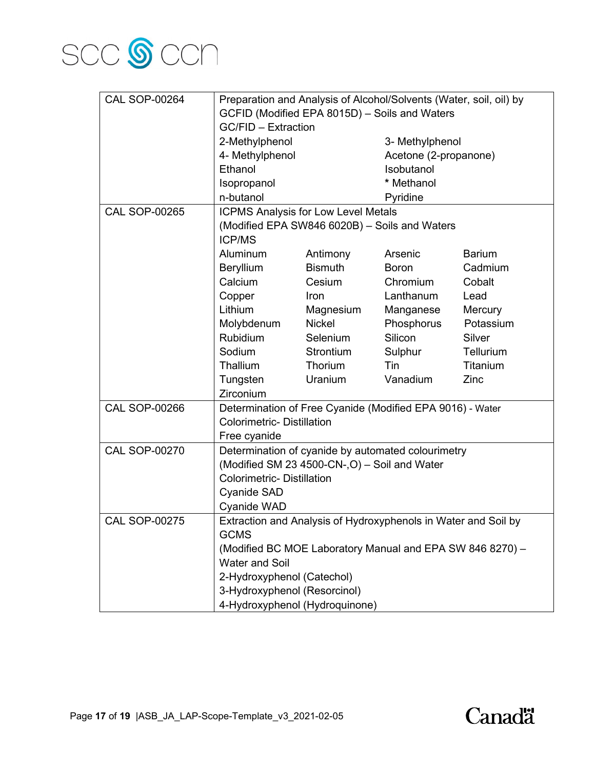

| <b>CAL SOP-00264</b> | Preparation and Analysis of Alcohol/Solvents (Water, soil, oil) by<br>GCFID (Modified EPA 8015D) - Soils and Waters |                |                       |               |
|----------------------|---------------------------------------------------------------------------------------------------------------------|----------------|-----------------------|---------------|
|                      | GC/FID - Extraction                                                                                                 |                |                       |               |
|                      | 2-Methylphenol                                                                                                      |                | 3- Methylphenol       |               |
|                      | 4- Methylphenol                                                                                                     |                | Acetone (2-propanone) |               |
|                      | Ethanol                                                                                                             |                | Isobutanol            |               |
|                      | Isopropanol                                                                                                         |                | * Methanol            |               |
|                      | n-butanol                                                                                                           |                | Pyridine              |               |
| <b>CAL SOP-00265</b> | <b>ICPMS Analysis for Low Level Metals</b>                                                                          |                |                       |               |
|                      | (Modified EPA SW846 6020B) - Soils and Waters<br><b>ICP/MS</b>                                                      |                |                       |               |
|                      | Aluminum                                                                                                            | Antimony       | Arsenic               | <b>Barium</b> |
|                      | Beryllium                                                                                                           | <b>Bismuth</b> | <b>Boron</b>          | Cadmium       |
|                      | Calcium                                                                                                             | Cesium         | Chromium              | Cobalt        |
|                      | Copper                                                                                                              | <b>Iron</b>    | Lanthanum             | Lead          |
|                      | Lithium                                                                                                             | Magnesium      | Manganese             | Mercury       |
|                      | Molybdenum                                                                                                          | <b>Nickel</b>  | Phosphorus            | Potassium     |
|                      | Rubidium                                                                                                            | Selenium       | Silicon               | Silver        |
|                      | Sodium                                                                                                              | Strontium      | Sulphur               | Tellurium     |
|                      | Thallium                                                                                                            | Thorium        | Tin                   | Titanium      |
|                      | Tungsten                                                                                                            | Uranium        | Vanadium              | Zinc          |
|                      | Zirconium                                                                                                           |                |                       |               |
| <b>CAL SOP-00266</b> | Determination of Free Cyanide (Modified EPA 9016) - Water                                                           |                |                       |               |
|                      | <b>Colorimetric- Distillation</b>                                                                                   |                |                       |               |
|                      | Free cyanide                                                                                                        |                |                       |               |
| <b>CAL SOP-00270</b> | Determination of cyanide by automated colourimetry                                                                  |                |                       |               |
|                      | (Modified SM 23 4500-CN-, O) - Soil and Water                                                                       |                |                       |               |
|                      | <b>Colorimetric- Distillation</b>                                                                                   |                |                       |               |
|                      | <b>Cyanide SAD</b>                                                                                                  |                |                       |               |
|                      | <b>Cyanide WAD</b>                                                                                                  |                |                       |               |
| <b>CAL SOP-00275</b> | Extraction and Analysis of Hydroxyphenols in Water and Soil by                                                      |                |                       |               |
|                      | <b>GCMS</b>                                                                                                         |                |                       |               |
|                      | (Modified BC MOE Laboratory Manual and EPA SW 846 8270) -                                                           |                |                       |               |
|                      | <b>Water and Soil</b>                                                                                               |                |                       |               |
|                      | 2-Hydroxyphenol (Catechol)                                                                                          |                |                       |               |
|                      | 3-Hydroxyphenol (Resorcinol)                                                                                        |                |                       |               |
|                      | 4-Hydroxyphenol (Hydroquinone)                                                                                      |                |                       |               |

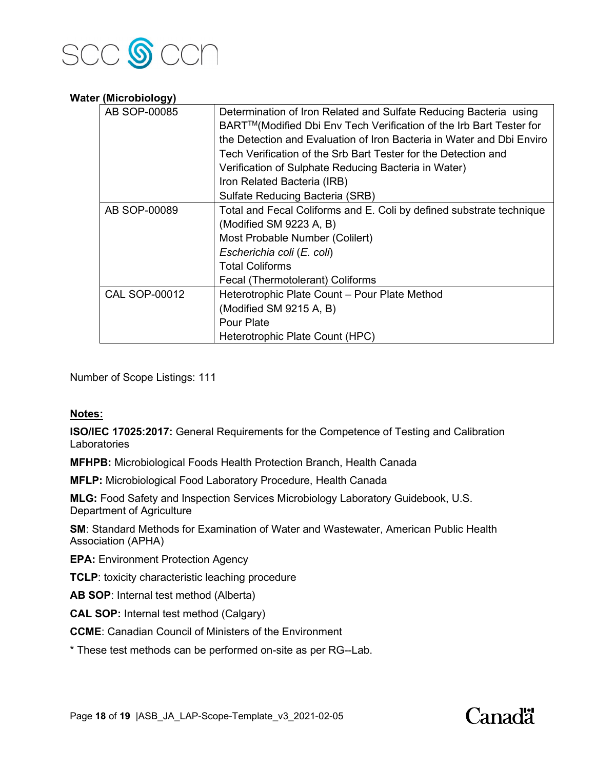

### **Water (Microbiology)**

| AB SOP-00085         | Determination of Iron Related and Sulfate Reducing Bacteria using<br>BART™(Modified Dbi Env Tech Verification of the Irb Bart Tester for |  |  |
|----------------------|------------------------------------------------------------------------------------------------------------------------------------------|--|--|
|                      | the Detection and Evaluation of Iron Bacteria in Water and Dbi Enviro                                                                    |  |  |
|                      |                                                                                                                                          |  |  |
|                      | Tech Verification of the Srb Bart Tester for the Detection and                                                                           |  |  |
|                      | Verification of Sulphate Reducing Bacteria in Water)                                                                                     |  |  |
|                      | Iron Related Bacteria (IRB)                                                                                                              |  |  |
|                      | Sulfate Reducing Bacteria (SRB)                                                                                                          |  |  |
| AB SOP-00089         | Total and Fecal Coliforms and E. Coli by defined substrate technique                                                                     |  |  |
|                      | (Modified SM 9223 A, B)                                                                                                                  |  |  |
|                      | Most Probable Number (Colilert)                                                                                                          |  |  |
|                      | Escherichia coli (E. coli)                                                                                                               |  |  |
|                      | <b>Total Coliforms</b>                                                                                                                   |  |  |
|                      | Fecal (Thermotolerant) Coliforms                                                                                                         |  |  |
| <b>CAL SOP-00012</b> | Heterotrophic Plate Count - Pour Plate Method                                                                                            |  |  |
|                      | (Modified SM 9215 A, B)                                                                                                                  |  |  |
|                      | <b>Pour Plate</b>                                                                                                                        |  |  |
|                      | Heterotrophic Plate Count (HPC)                                                                                                          |  |  |

Number of Scope Listings: 111

# **Notes:**

**ISO/IEC 17025:2017:** General Requirements for the Competence of Testing and Calibration **Laboratories** 

**MFHPB:** Microbiological Foods Health Protection Branch, Health Canada

**MFLP:** Microbiological Food Laboratory Procedure, Health Canada

**MLG:** Food Safety and Inspection Services Microbiology Laboratory Guidebook, U.S. Department of Agriculture

**SM**: Standard Methods for Examination of Water and Wastewater, American Public Health Association (APHA)

**EPA:** Environment Protection Agency

**TCLP**: toxicity characteristic leaching procedure

**AB SOP**: Internal test method (Alberta)

**CAL SOP:** Internal test method (Calgary)

**CCME**: Canadian Council of Ministers of the Environment

\* These test methods can be performed on-site as per RG--Lab.

# Canadä